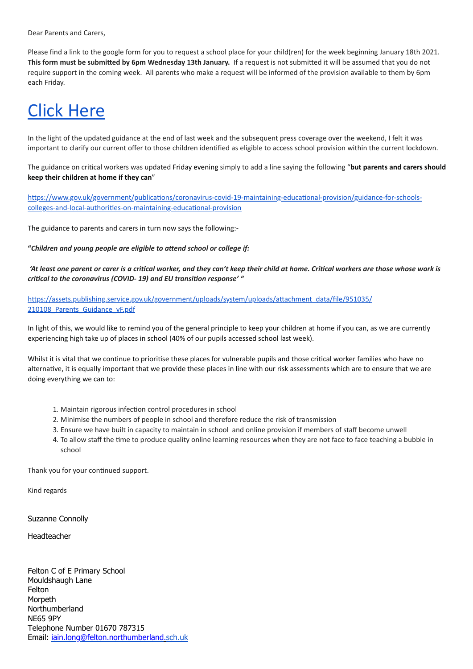Dear Parents and Carers,

Please find a link to the google form for you to request a school place for your child(ren) for the week beginning January 18th 2021. This form must be submitted by 6pm Wednesday 13th January. If a request is not submitted it will be assumed that you do not require support in the coming week. All parents who make a request will be informed of the provision available to them by 6pm each Friday.

## [Click Here](https://docs.google.com/forms/d/e/1FAIpQLSfK2Bdn_BN-f5Q17VLgU9Xa05K3iADNJU4NMmIA5Jaqgf-oTA/viewform?usp=sf_link)

In the light of the updated guidance at the end of last week and the subsequent press coverage over the weekend, I felt it was important to clarify our current offer to those children idenfied as eligible to access school provision within the current lockdown.

The guidance on crical workers was updated Friday evening simply to add a line saying the following "**but parents and carers should keep their children at home if they can**"

https://www.gov.uk/government/publications/coronavirus-covid-19-maintaining-educational-provision/guidance-for-schoolscolleges-and-local-authorities-on-maintaining-educational-provision

The guidance to parents and carers in turn now says the following:-

"Children and young people are eligible to attend school or college if:

'At least one parent or carer is a critical worker, and they can't keep their child at home. Critical workers are those whose work is *crical to the coronavirus (COVID- 19) and EU transion response' "*

https://assets.publishing.service.gov.uk/government/uploads/system/uploads/attachment\_data/file/951035/ 210108 Parents Guidance vF.pdf

In light of this, we would like to remind you of the general principle to keep your children at home if you can, as we are currently experiencing high take up of places in school (40% of our pupils accessed school last week).

Whilst it is vital that we continue to prioritise these places for vulnerable pupils and those critical worker families who have no alternative, it is equally important that we provide these places in line with our risk assessments which are to ensure that we are doing everything we can to:

- 1. Maintain rigorous infection control procedures in school
- 2. Minimise the numbers of people in school and therefore reduce the risk of transmission
- 3. Ensure we have built in capacity to maintain in school and online provision if members of staff become unwell
- 4. To allow staff the time to produce quality online learning resources when they are not face to face teaching a bubble in school

Thank you for your continued support.

Kind regards

Suzanne Connolly

Headteacher

Felton C of E Primary School Mouldshaugh Lane Felton **Morpeth** Northumberland NE65 9PY Telephone Number 01670 787315 Email: [iain.long@felton.northumberland](mailto:iain.long@northumberland)[.sch.uk](http://sch.uk/)